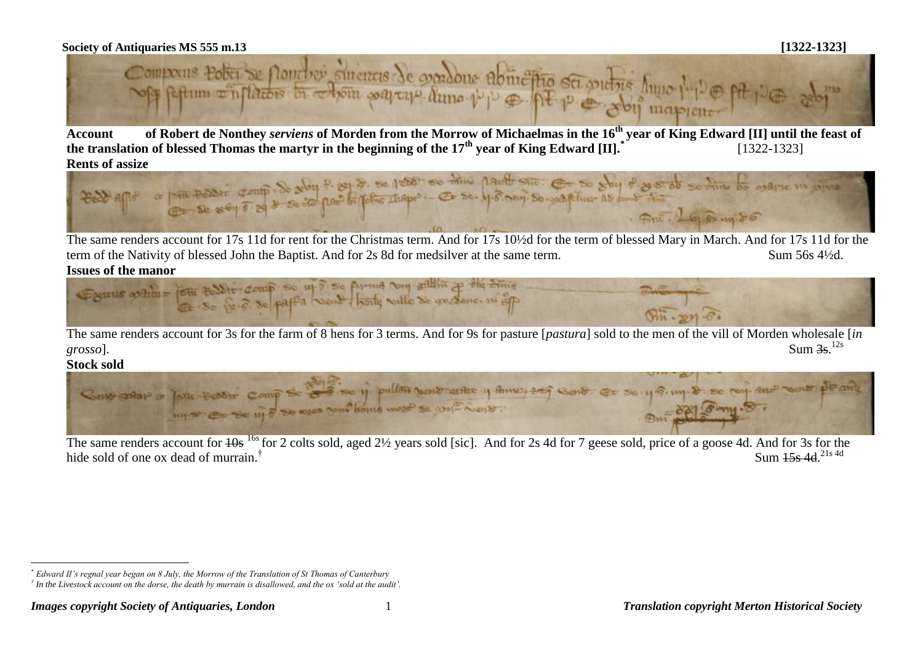

**Account of Robert de Nonthey** *serviens* **of Morden from the Morrow of Michaelmas in the 16th year of King Edward [II] until the feast of the translation of blessed Thomas the martyr in the beginning of the 17th year of King Edward [II].\*** [1322-1323]



The same renders account for 17s 11d for rent for the Christmas term. And for 17s 10½d for the term of blessed Mary in March. And for 17s 11d for the term of the Nativity of blessed John the Baptist. And for 2s 8d for medsilver at the same term. Sum 56s 4½d.



The same renders account for 3s for the farm of 8 hens for 3 terms. And for 9s for pasture [*pastura*] sold to the men of the vill of Morden wholesale [*in grosso*]. Sum 3s. Sum  $3s$ ,  $^{12s}$ 

**Stock sold** 

 $\overline{a}$ 



The same renders account for  $\frac{10s}{16s}$  for 2 colts sold, aged  $\frac{21}{2}$  years sold [sic]. And for 2s 4d for 7 geese sold, price of a goose 4d. And for 3s for the hide sold of one ox dead of murrain.<sup>†</sup> Sum  $15s$  4d.<sup>21s 4d</sup>

*<sup>\*</sup> Edward II's regnal year began on 8 July, the Morrow of the Translation of St Thomas of Canterbury*

*<sup>†</sup> In the Livestock account on the dorse, the death by murrain is disallowed, and the ox 'sold at the audit'.*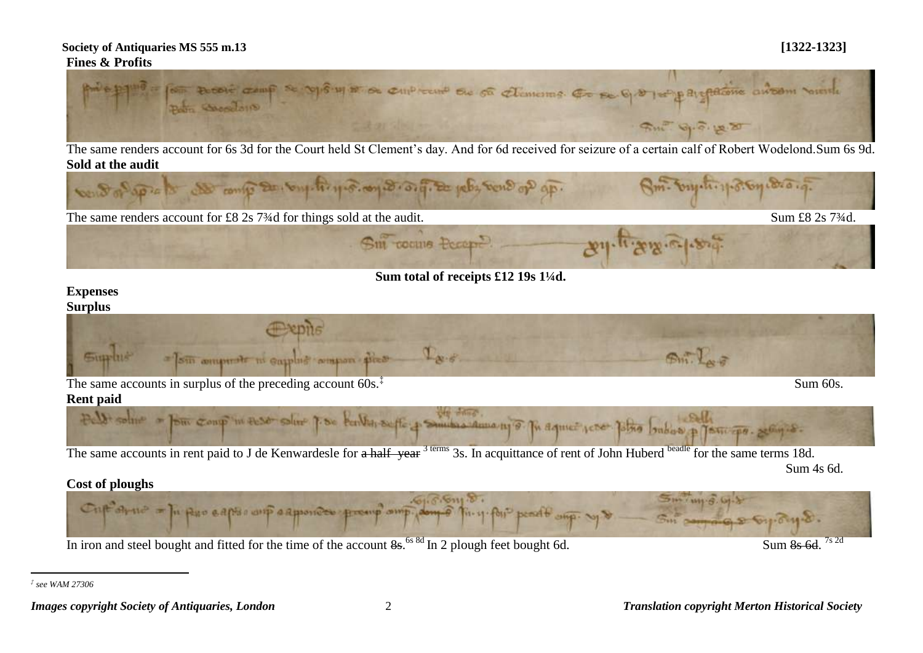### **Society of Antiquaries MS 555 m.13 [1322-1323] Fines & Profits**



The same renders account for 6s 3d for the Court held St Clement's day. And for 6d received for seizure of a certain calf of Robert Wodelond.Sum 6s 9d. **Sold at the audit** 



**Sum total of receipts £12 19s 1¼d.**

### **Expenses Surplus**



Sum 60s.



The same accounts in rent paid to J de Kenwardesle for a half year<sup>3 terms</sup> 3s. In acquittance of rent of John Huberd <sup>beadle</sup> for the same terms 18d. Sum 4s 6d.

### **Cost of ploughs**



*‡ see WAM 27306*

 $\overline{a}$ 

*Images copyright Society of Antiquaries, London* 2 *Translation copyright Merton Historical Society*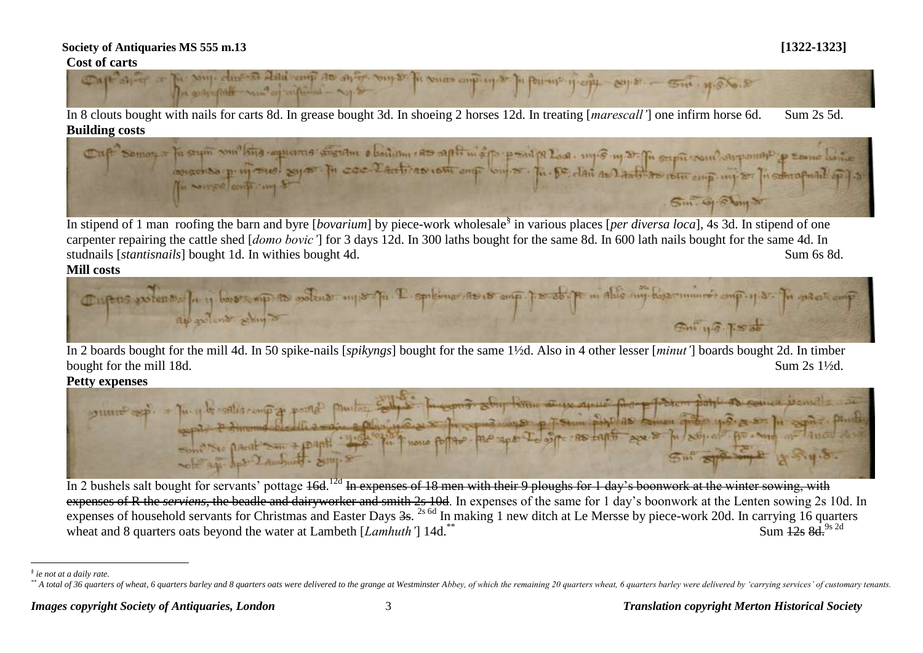### **Society of Antiquaries MS 555 m.13 [1322-1323] Cost of carts**



In 8 clouts bought with nails for carts 8d. In grease bought 3d. In shoeing 2 horses 12d. In treating [*marescall'*] one infirm horse 6d. Sum 2s 5d.



In stipend of 1 man roofing the barn and byre [*bovarium*] by piece-work wholesale§ in various places [*per diversa loca*], 4s 3d. In stipend of one carpenter repairing the cattle shed [*domo bovic'*] for 3 days 12d. In 300 laths bought for the same 8d. In 600 lath nails bought for the same 4d. In studnails [*stantisnails*] bought 1d. In withies bought 4d. Sum 6s 8d. Sum 6s 8d.

**Mill costs**



In 2 boards bought for the mill 4d. In 50 spike-nails [*spikyngs*] bought for the same 1½d. Also in 4 other lesser [*minut'*] boards bought 2d. In timber bought for the mill 18d. Sum 2s 1<sup>1/2</sup>d.



In 2 bushels salt bought for servants' pottage 16d.<sup>12d</sup> In expenses of 18 men with their 9 ploughs for 1 day's boonwork at the winter sowing, with expenses of R the *serviens*, the beadle and dairyworker and smith 2s 10d. In expenses of the same for 1 day's boonwork at the Lenten sowing 2s 10d. In expenses of household servants for Christmas and Easter Days  $3s$ . <sup>2s 6d</sup> In making 1 new ditch at Le Mersse by piece-work 20d. In carrying 16 quarters wheat and 8 quarters oats beyond the water at Lambeth [*Lamhuth'*] 14d.<sup>\*\*</sup> Sum 12s 8d.<sup>9s 2d</sup>

 $\overline{a}$ *§ ie not at a daily rate.*

<sup>\*\*</sup> A total of 36 quarters of wheat, 6 quarters barley and 8 quarters oats were delivered to the grange at Westminster Abbey, of which the remaining 20 quarters wheat, 6 quarters barley were delivered by 'carrying services'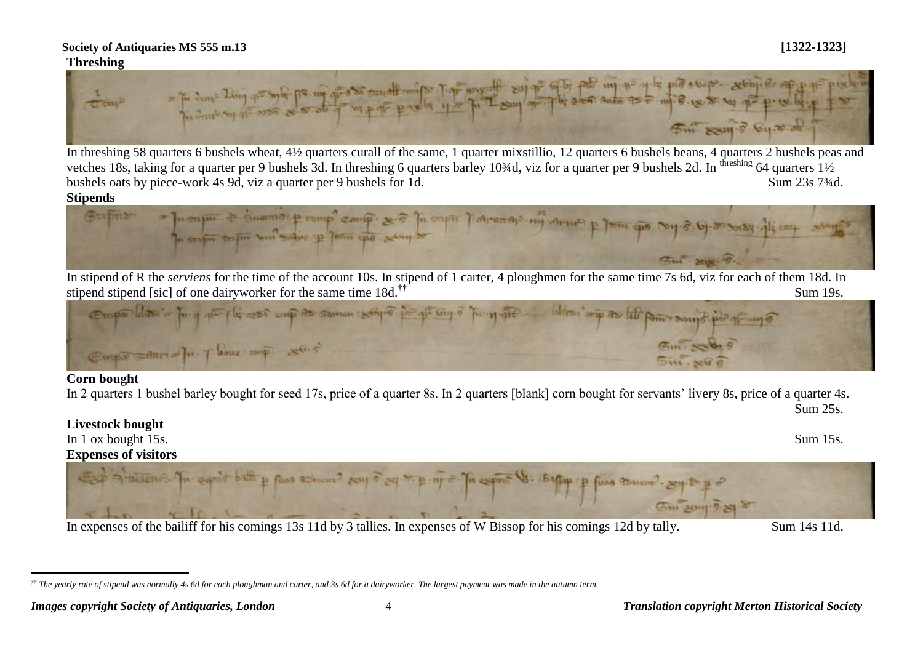

In threshing 58 quarters 6 bushels wheat, 4½ quarters curall of the same, 1 quarter mixstillio, 12 quarters 6 bushels beans, 4 quarters 2 bushels peas and vetches 18s, taking for a quarter per 9 bushels 3d. In threshing 6 quarters barley 10¾d, viz for a quarter per 9 bushels 2d. In threshing 64 quarters  $1\frac{1}{2}$ bushels oats by piece-work 4s 9d, viz a quarter per 9 bushels for 1d. Sum 23s 7<sup>3</sup>/4d.

### **Stipends**



In stipend of R the *serviens* for the time of the account 10s. In stipend of 1 carter, 4 ploughmen for the same time 7s 6d, viz for each of them 18d. In



### **Corn bought**

 $\overline{a}$ 

In 2 quarters 1 bushel barley bought for seed 17s, price of a quarter 8s. In 2 quarters [blank] corn bought for servants' livery 8s, price of a quarter 4s. Sum 25s.

### **Livestock bought**

In 1 ox bought 15s. Sum 15s. **Expenses of visitors**



In expenses of the bailiff for his comings 13s 11d by 3 tallies. In expenses of W Bissop for his comings 12d by tally. Sum 14s 11d.

*<sup>††</sup> The yearly rate of stipend was normally 4s 6d for each ploughman and carter, and 3s 6d for a dairyworker. The largest payment was made in the autumn term.*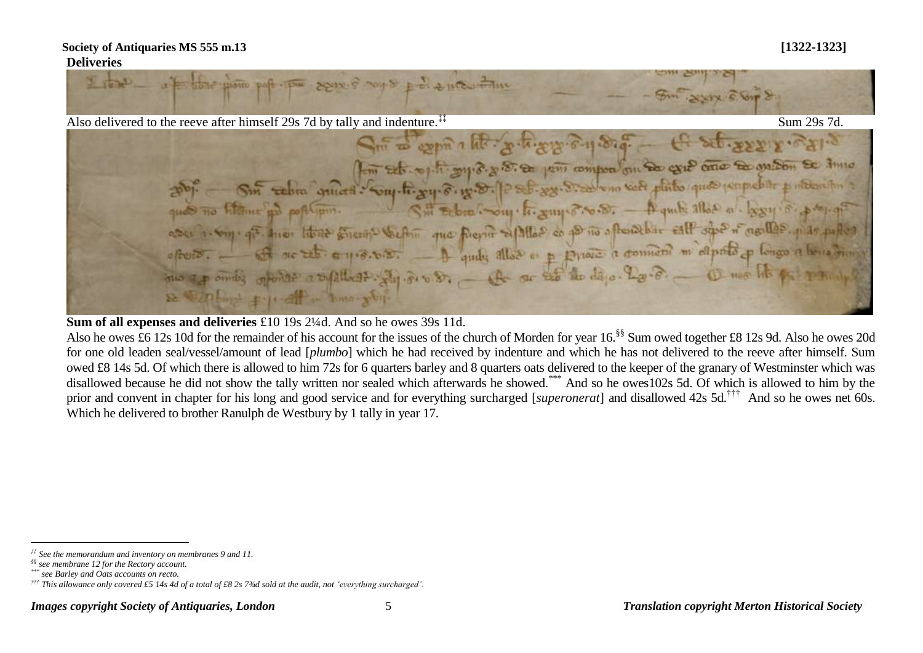ant l **CONTRACTOR DOPENSIONER** SOUR SAME DE 2 MOUTAIN Also delivered to the reeve after himself 29s 7d by tally and indenture.<sup>‡‡</sup> Sum 29s 7d. Sur a copia a lite police por 6-11 Stat -Sur sebra quiette support support en peu composition de existence de que en la parte et de dinne Sit Erbra Com. h. wing 8. 0.8. - A quile alloc a bosy of property and no highne and pollipm. aber i. Suy, que le de la Suente Selfin que figure aplitar de poins a fandelar este après agulles par partes - I quite allow as p priore a connecte m'esprito p longo a bona tim of no this emission. one ap only opened a supplied? She do Di \_ A ar so the days. La de \_ O me lit pa De Capitant pulled in morrison

### **Sum of all expenses and deliveries** £10 19s 2<sup>1</sup>/4d. And so he owes 39s 11d.

Also he owes £6 12s 10d for the remainder of his account for the issues of the church of Morden for year 16.<sup>§§</sup> Sum owed together £8 12s 9d. Also he owes 20d for one old leaden seal/vessel/amount of lead [*plumbo*] which he had received by indenture and which he has not delivered to the reeve after himself. Sum owed £8 14s 5d. Of which there is allowed to him 72s for 6 quarters barley and 8 quarters oats delivered to the keeper of the granary of Westminster which was disallowed because he did not show the tally written nor sealed which afterwards he showed.<sup>\*\*\*</sup> And so he owes102s 5d. Of which is allowed to him by the prior and convent in chapter for his long and good service and for everything surcharged [*superonerat*] and disallowed 42s 5d.<sup>†††</sup> And so he owes net 60s. Which he delivered to brother Ranulph de Westbury by 1 tally in year 17.

 $\overline{a}$ 

*<sup>‡‡</sup> See the memorandum and inventory on membranes 9 and 11.*

*<sup>§§</sup> see membrane 12 for the Rectory account.*

*<sup>\*\*\*</sup> see Barley and Oats accounts on recto.*

*<sup>†††</sup> This allowance only covered £5 14s 4d of a total of £8 2s 7¾d sold at the audit, not 'everything surcharged'.*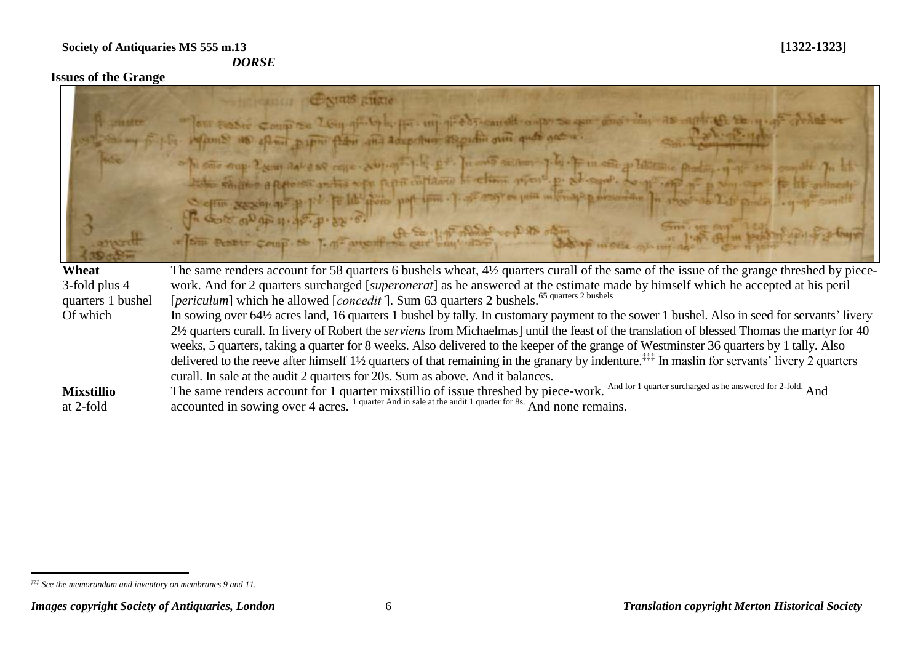### **Issues of the Grange**



Of which In sowing over 64½ acres land, 16 quarters 1 bushel by tally. In customary payment to the sower 1 bushel. Also in seed for servants' livery 2½ quarters curall. In livery of Robert the *serviens* from Michaelmas] until the feast of the translation of blessed Thomas the martyr for 40 weeks, 5 quarters, taking a quarter for 8 weeks. Also delivered to the keeper of the grange of Westminster 36 quarters by 1 tally. Also delivered to the reeve after himself 1<sup>1</sup>/<sub>2</sub> quarters of that remaining in the granary by indenture.<sup>‡‡‡</sup> In maslin for servants' livery 2 quarters curall. In sale at the audit 2 quarters for 20s. Sum as above. And it balances.

**Mixstillio**  at 2-fold The same renders account for 1 quarter mixstillio of issue threshed by piece-work. And for 1 quarter surcharged as he answered for 2-fold. And accounted in sowing over 4 acres.<sup>1</sup> quarter And in sale at the audit 1 quarter for 8s. And none remains.

 $\overline{a}$ *‡‡‡ See the memorandum and inventory on membranes 9 and 11.*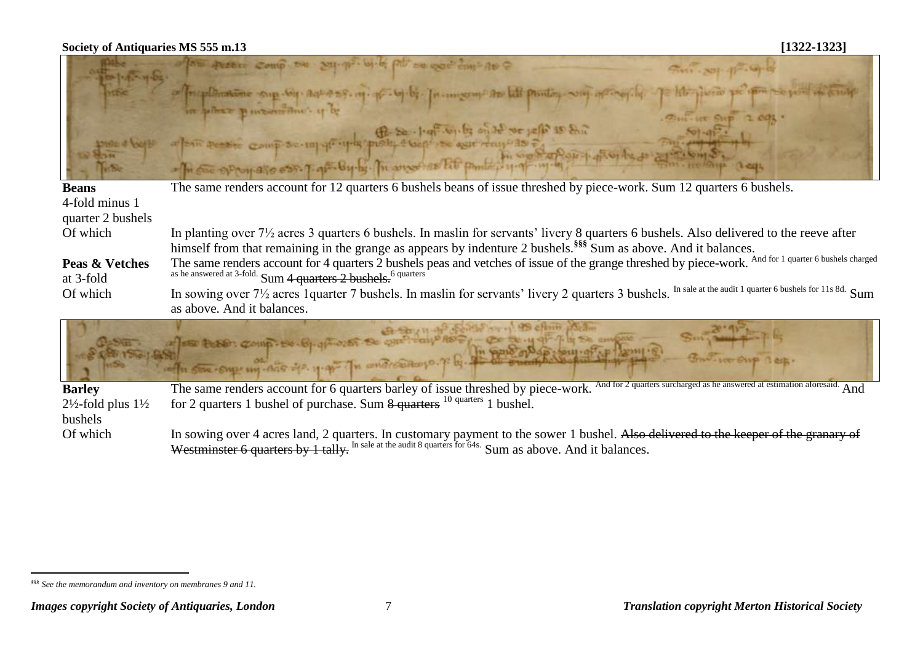# **Society of Antiquaries MS 555 m.13 [1322-1323] SE ASSAULT Beans** The same renders account for 12 quarters 6 bushels beans of issue threshed by piece-work. Sum 12 quarters 6 bushels. 4-fold minus 1 quarter 2 bushels Of which In planting over 7½ acres 3 quarters 6 bushels. In maslin for servants' livery 8 quarters 6 bushels. Also delivered to the reeve after himself from that remaining in the grange as appears by indenture 2 bushels.**§§§** Sum as above. And it balances. The same renders account for 4 quarters  $\overline{2}$  bushels peas and vetches of issue of the grange threshed by piece-work. And for 1 quarter 6 bushels charged **Peas & Vetches** at 3-fold

as he answered at 3-fold.  $Sum 4 quarters 2 bushels.$ <sup>6 quarters</sup>

Of which In sowing over  $7\frac{1}{2}$  acres 1 quarter 7 bushels. In maslin for servants' livery 2 quarters 3 bushels. In sale at the audit 1 quarter 6 bushels for 11s 8d. Sum as above. And it balances.

**Barley**  2½-fold plus 1½ bushels The same renders account for 6 quarters barley of issue threshed by piece-work. And for 2 quarters surcharged as he answered at estimation aforesaid. And for 2 quarters 1 bushel of purchase. Sum 8 quarters <sup>10</sup> quarters 1 bushel.

Of which In sowing over 4 acres land, 2 quarters. In customary payment to the sower 1 bushel. Also delivered to the keeper of the granary of Westminster 6 quarters by 1 tally. In sale at the audit 8 quarters for 64s. Sum as above. And it balances.

 $\overline{a}$ *§§§ See the memorandum and inventory on membranes 9 and 11.*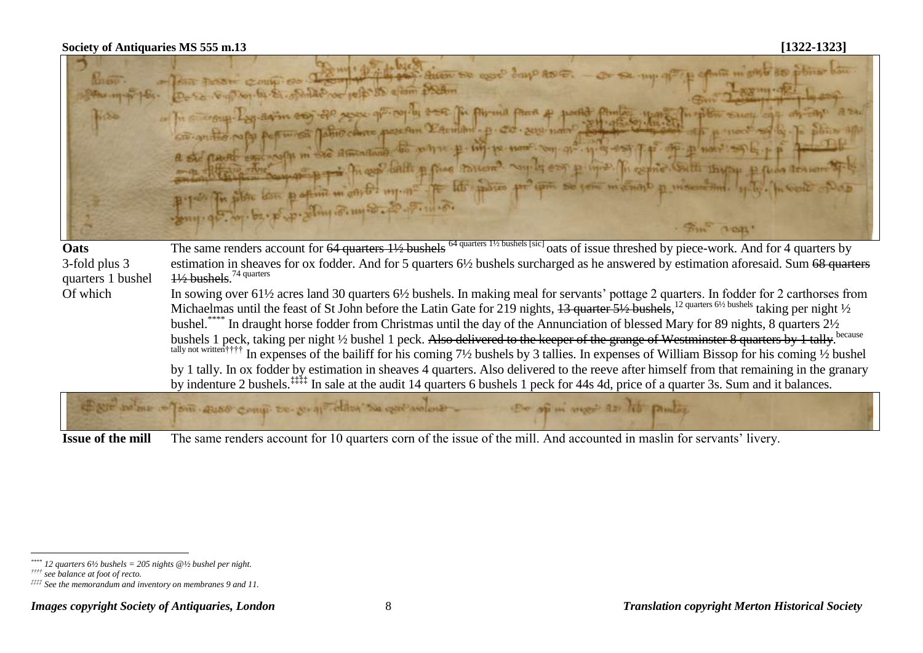| <b>MAGGE</b><br>4550               | POST COUP OF TEM 4 14 15 20 SHOW DE DEEP BOYP ADE. - OF DE UNIVERSITY SPANIE IN ORIE 10 poting bon<br>moth make the popular or able to the mother to all mother<br>on In Europy. Lay saim so the ages of the fire of the state of the physical part of posted from the state of the state of the state<br>a ste pool ent note mi de amarina de pour p. inj. p. nome, com que que esq q p. op. p note: sq le p p.<br>- Retrain to the population of the Contract of the Company of the contract of the company of the state of the contract of<br>By your fin pilote loss popular might? my me to let photos pro upon so your mighting p mises and ly the process ports<br>- Sony - 95. 201 . 62 . 25 . 27 . 201 . 10 . 20 . 20 . 11 . 20<br>CUOST! |
|------------------------------------|----------------------------------------------------------------------------------------------------------------------------------------------------------------------------------------------------------------------------------------------------------------------------------------------------------------------------------------------------------------------------------------------------------------------------------------------------------------------------------------------------------------------------------------------------------------------------------------------------------------------------------------------------------------------------------------------------------------------------------------------------|
| Oats                               | The same renders account for 64 quarters 11/2 bushels <sup>64 quarters 11/2</sup> bushels [sic] oats of issue threshed by piece-work. And for 4 quarters by                                                                                                                                                                                                                                                                                                                                                                                                                                                                                                                                                                                        |
| 3-fold plus 3<br>quarters 1 bushel | estimation in sheaves for ox fodder. And for 5 quarters 6½ bushels surcharged as he answered by estimation aforesaid. Sum 68 quarters<br>$\frac{11}{2}$ bushels. <sup>74 quarters</sup>                                                                                                                                                                                                                                                                                                                                                                                                                                                                                                                                                            |
| Of which                           | In sowing over 611/2 acres land 30 quarters 61/2 bushels. In making meal for servants' pottage 2 quarters. In fodder for 2 carthorses from                                                                                                                                                                                                                                                                                                                                                                                                                                                                                                                                                                                                         |
|                                    | Michaelmas until the feast of St John before the Latin Gate for 219 nights, $13$ quarter $5\frac{1}{2}$ bushels, $12$ quarters $6\frac{1}{2}$ bushels taking per night $\frac{1}{2}$<br>bushel. "*** In draught horse fodder from Christmas until the day of the Annunciation of blessed Mary for 89 nights, 8 quarters 21/2                                                                                                                                                                                                                                                                                                                                                                                                                       |
|                                    | bushels 1 peck, taking per night 1/2 bushel 1 peck. Also delivered to the keeper of the grange of Westminster 8 quarters by 1 tally. because<br>tally not written fifth In expenses of the bailiff for his coming 7½ bushels by 3 tallies. In expenses of William Bissop for his coming ½ bushel                                                                                                                                                                                                                                                                                                                                                                                                                                                   |
|                                    | by 1 tally. In ox fodder by estimation in sheaves 4 quarters. Also delivered to the reeve after himself from that remaining in the granary<br>by indenture 2 bushels. <sup>22</sup> In sale at the audit 14 quarters 6 bushels 1 peck for 44s 4d, price of a quarter 3s. Sum and it balances.                                                                                                                                                                                                                                                                                                                                                                                                                                                      |
|                                    | But where of one away comp to properties we get woled . De of in my at it punting                                                                                                                                                                                                                                                                                                                                                                                                                                                                                                                                                                                                                                                                  |
|                                    |                                                                                                                                                                                                                                                                                                                                                                                                                                                                                                                                                                                                                                                                                                                                                    |

**Issue of the mill** The same renders account for 10 quarters corn of the issue of the mill. And accounted in maslin for servants' livery.

 $\overline{a}$ 

*<sup>\*\*\*\*</sup> 12 quarters 6½ bushels = 205 nights @½ bushel per night.*

*<sup>††††</sup> see balance at foot of recto.*

*<sup>‡‡‡‡</sup> See the memorandum and inventory on membranes 9 and 11.*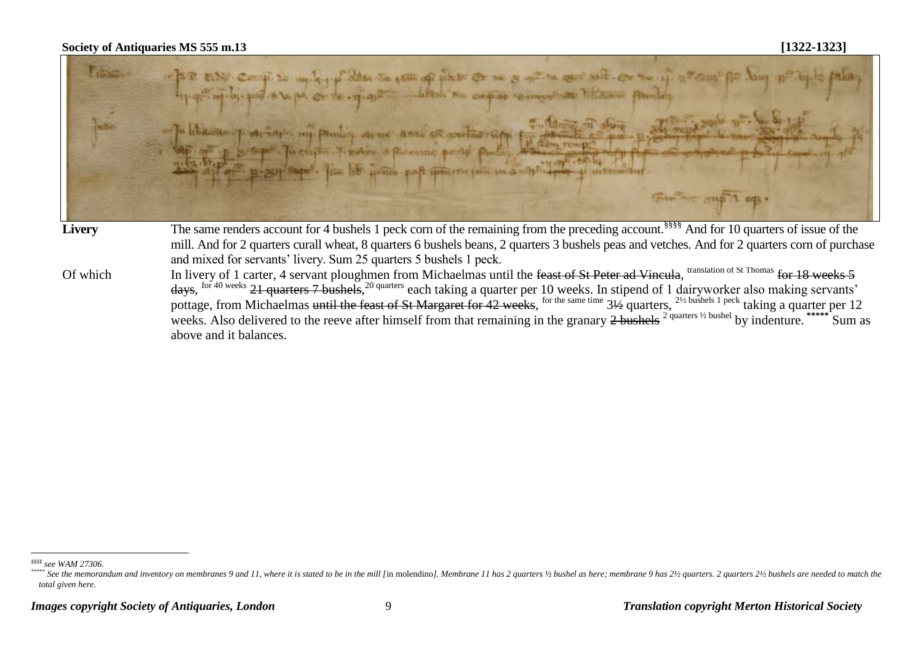| <b>The Second</b><br>i es | of the ESU coup so multiple das so com of plas: Or se a mise cont soit. Or se if no cont po long no typis palay<br>Tu librarie p mings. my paming anno anno se protino em fu desse de obien<br>Sup of the screen Theodore of said a paramaic point public description of the<br>$\frac{1}{2}$ and $\frac{1}{2}$ and $\frac{1}{2}$ and $\frac{1}{2}$ |
|---------------------------|-----------------------------------------------------------------------------------------------------------------------------------------------------------------------------------------------------------------------------------------------------------------------------------------------------------------------------------------------------|
| <b>Livery</b>             | The same renders account for 4 bushels 1 peck corn of the remaining from the preceding account. <sup>§§§§</sup> And for 10 quarters of issue of the                                                                                                                                                                                                 |
|                           | mill. And for 2 quarters curall wheat, 8 quarters 6 bushels beans, 2 quarters 3 bushels peas and vetches. And for 2 quarters corn of purchase                                                                                                                                                                                                       |
|                           | and mixed for servants' livery. Sum 25 quarters 5 bushels 1 peck.                                                                                                                                                                                                                                                                                   |
| Of which                  | In livery of 1 carter, 4 servant ploughmen from Michaelmas until the feast of St Peter ad Vincula, translation of St Thomas for 18 weeks 5                                                                                                                                                                                                          |
|                           | days, for 40 weeks 21 quarters 7 bushels, <sup>20 quarters</sup> each taking a quarter per 10 weeks. In stipend of 1 dairyworker also making servants' pottage, from Michaelmas until the feast of St Margaret for 42 weeks, for the sa                                                                                                             |
|                           |                                                                                                                                                                                                                                                                                                                                                     |
|                           | weeks. Also delivered to the reeve after himself from that remaining in the granary 2 bushels <sup>2 quarters 1/2</sup> bushel by indenture. <sup>*</sup><br>Sum as                                                                                                                                                                                 |

above and it balances.

 $\overline{a}$ 

*<sup>§§§§</sup> see WAM 27306.* 

<sup>\*\*\*\*\*</sup> See the memorandum and inventory on membranes 9 and 11, where it is stated to be in the mill [in molendino]. Membrane 11 has 2 quarters  $\frac{y}{2}$  bushel as here; membrane 9 has 21/2 quarters. 2 quarters 21/2 bushels *total given here.*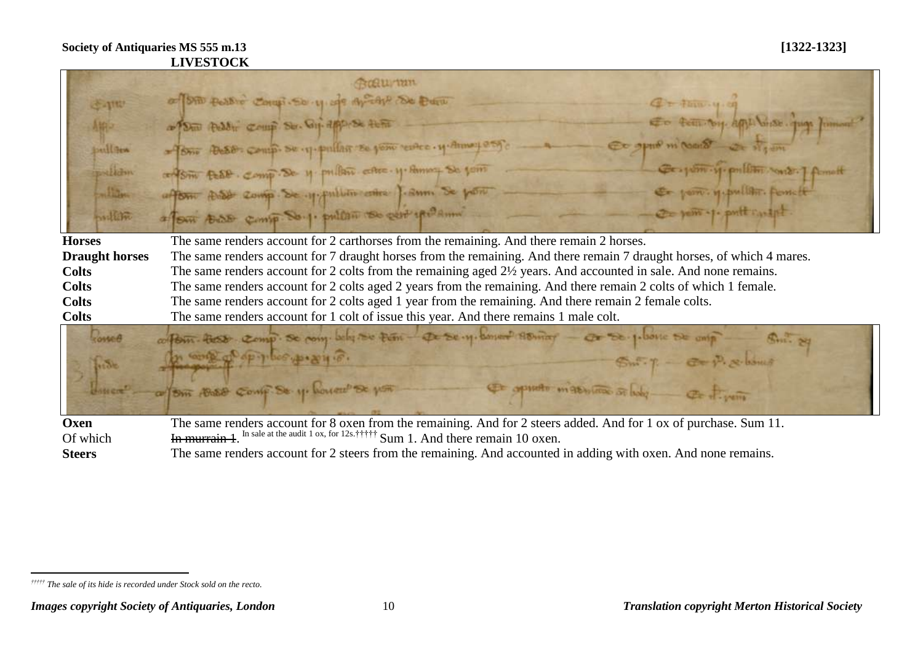|                       | Gannan                                                                                                                 |
|-----------------------|------------------------------------------------------------------------------------------------------------------------|
| <b>J-1110</b>         | of SAD Poster Compi So y of Archit De Dun<br>$Q = \frac{1}{2}$ and $\frac{1}{2}$                                       |
| 相称                    | En tem by ami brise que finnent<br>a Di Peddi Comp Su. Gif applish tuff                                                |
| puller                | Co appo m'oanot a sigem<br>- Brie Bess Comp. Se 17-pullar se jono revice. y. Annoy asy.                                |
| pstlidm               | Geograph y pullition work ] famelt<br>conform test comp. De y pullare cabe y Amoy Se joint                             |
| Allian                | Co port. M. pullan formele<br>after that comp. Se y fullin come f. sum Se pont                                         |
| millin                | Or pom -1. puttraight.<br>a four toda comp. So.1. pullan so cent spelame                                               |
| <b>Horses</b>         | The same renders account for 2 carthorses from the remaining. And there remain 2 horses.                               |
| <b>Draught horses</b> | The same renders account for 7 draught horses from the remaining. And there remain 7 draught horses, of which 4 mares. |
| <b>Colts</b>          | The same renders account for 2 colts from the remaining aged 2½ years. And accounted in sale. And none remains.        |
| <b>Colts</b>          | The same renders account for 2 colts aged 2 years from the remaining. And there remain 2 colts of which 1 female.      |
| <b>Colts</b>          | The same renders account for 2 colts aged 1 year from the remaining. And there remain 2 female colts.                  |
| <b>Colts</b>          | The same renders account for 1 colt of issue this year. And there remains 1 male colt.                                 |
| $G$ osse $\theta$     | cofform. Pass comp. Se pony. Why see Firm - Qr se.y. When Asimar - Or Se. ploone Se any<br>$g_{\rm min}$ 24            |
| Horste                | In conte of opplies prayer.<br>$Sm:T = \mathbb{C} \times \mathbb{P}$ , gelsong                                         |
|                       | or form 18.88 Conf Se y. Count of you<br>Et opporto materiale of holy _____ Et of your                                 |
| Oxen                  | The same renders account for 8 oxen from the remaining. And for 2 steers added. And for 1 ox of purchase. Sum 11.      |
| Of which              | In murrain 1. In sale at the audit 1 ox, for 12s, ††††† Sum 1. And there remain 10 oxen.                               |
| <b>Steers</b>         | The same renders account for 2 steers from the remaining. And accounted in adding with oxen. And none remains.         |

 $\overline{a}$ *††††† The sale of its hide is recorded under Stock sold on the recto.*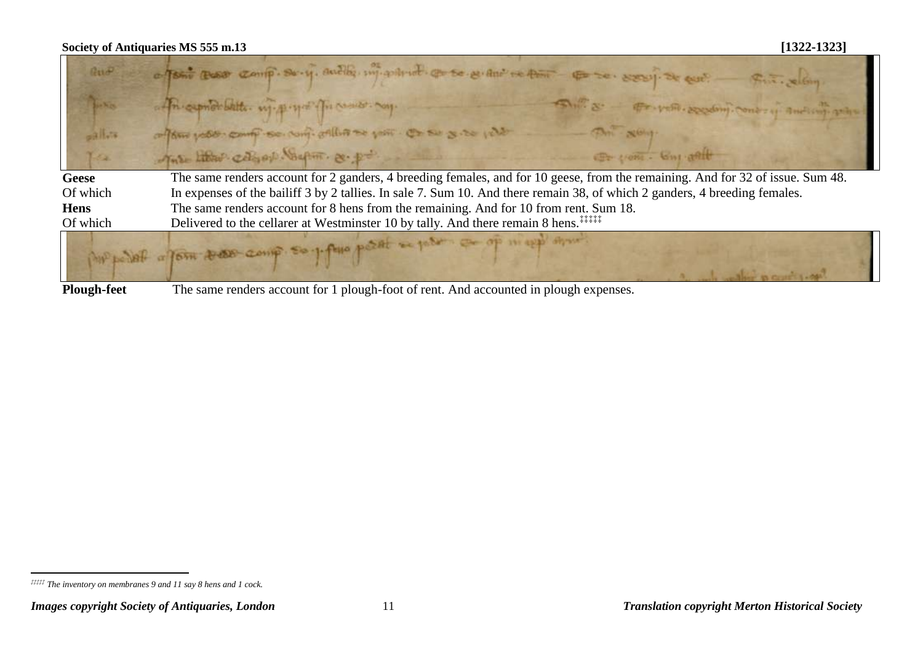$\blacksquare$ 

| $\lim_{n\to\infty}$                                    | a form too comp. So-y, audity, my polition of so evening to the entire to see y stop is out.<br>Fine, Slan                     |
|--------------------------------------------------------|--------------------------------------------------------------------------------------------------------------------------------|
| $\mathcal{L} = \mathcal{N}_{\mathcal{L}(\mathcal{G})}$ | of the capital better with property for comer cong.<br>Shill & Friends Septem Contras Andicap                                  |
| $-315.78$                                              | offens your comp so comp aller se por or su x.so plat<br>This - Non                                                            |
| 32                                                     | The librar colored Supon. & po<br>Er yon - Gut ant                                                                             |
| Geese                                                  | The same renders account for 2 ganders, 4 breeding females, and for 10 geese, from the remaining. And for 32 of issue. Sum 48. |
| Of which                                               | In expenses of the bailiff 3 by 2 tallies. In sale 7. Sum 10. And there remain 38, of which 2 ganders, 4 breeding females.     |
| <b>Hens</b>                                            | The same renders account for 8 hens from the remaining. And for 10 from rent. Sum 18.                                          |
| Of which                                               | Delivered to the cellarer at Westminster 10 by tally. And there remain 8 hens. <sup>‡‡‡‡‡</sup>                                |
|                                                        | purposed affair tres comp. So plus poset or por co of mapp aport.                                                              |

**Plough-feet** The same renders account for 1 plough-foot of rent. And accounted in plough expenses.

 $\overline{a}$ *‡‡‡‡‡ The inventory on membranes 9 and 11 say 8 hens and 1 cock.*